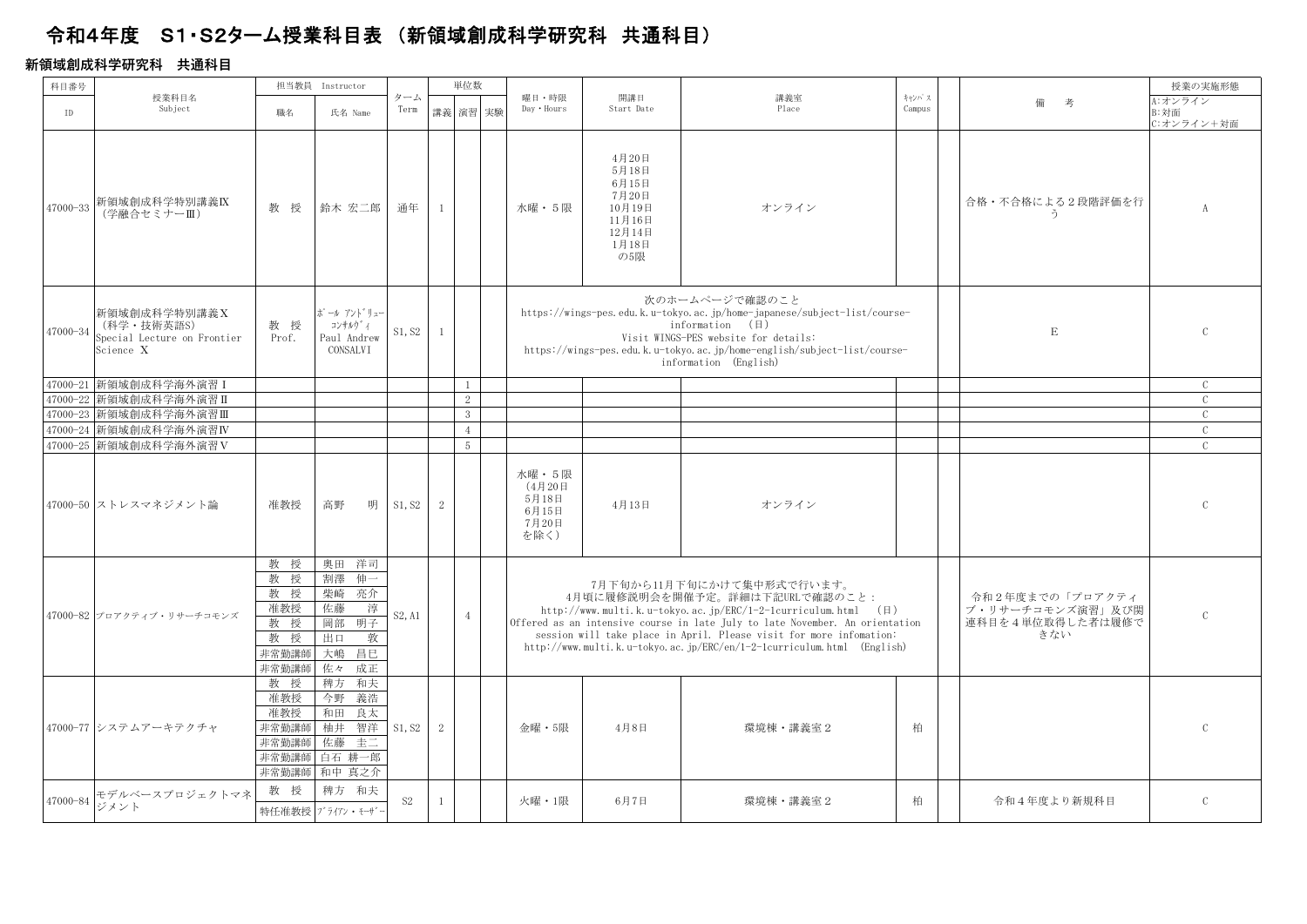## 令和4年度 S1・S2ターム授業科目表 (新領域創成科学研究科 共通科目)

## **新領域創成科学研究科 共通科⽬**

| 科目番号     |                                                                         |                                                       | 担当教員 Instructor                                                                            |                |                | 単位数             |                                                      |                                                                                |                                                                                                                                                                                                                                                                                                                                                                        |                 |                                                                | 授業の実施形態                       |
|----------|-------------------------------------------------------------------------|-------------------------------------------------------|--------------------------------------------------------------------------------------------|----------------|----------------|-----------------|------------------------------------------------------|--------------------------------------------------------------------------------|------------------------------------------------------------------------------------------------------------------------------------------------------------------------------------------------------------------------------------------------------------------------------------------------------------------------------------------------------------------------|-----------------|----------------------------------------------------------------|-------------------------------|
| ID       | 授業科目名<br>Subject                                                        | 職名                                                    | 氏名 Name                                                                                    | ターム<br>Term    |                | 講義 演習 実験        | 曜日・時限<br>Day . Hours                                 | 開講日<br>Start Date                                                              | 講義室<br>Place                                                                                                                                                                                                                                                                                                                                                           | キャンパス<br>Campus | 備<br>考                                                         | A:オンライン<br>B:対面<br>C:オンライン+対面 |
| 47000-33 | 新領域創成科学特別講義IX<br>(学融合セミナーⅢ)                                             | 教授                                                    | 鈴木 宏二郎                                                                                     | 通年             | $\mathbf{1}$   |                 | 水曜・5限                                                | 4月20日<br>5月18日<br>6月15日<br>7月20日<br>10月19日<br>11月16日<br>12月14日<br>1月18日<br>の5限 | オンライン                                                                                                                                                                                                                                                                                                                                                                  |                 | 合格・不合格による2段階評価を行<br>う                                          | $\Lambda$                     |
| 47000-34 | 新領域創成科学特別講義 X<br>(科学・技術英語S)<br>Special Lecture on Frontier<br>Science X | 教授<br>Prof.                                           | ポール アント゛リュー<br>コンサルウ゛ィ<br>Paul Andrew<br>CONSALVI                                          | S1, S2         | $\mathbf{1}$   |                 |                                                      |                                                                                | 次のホームページで確認のこと<br>https://wings-pes.edu.k.u-tokyo.ac.jp/home-japanese/subject-list/course-<br>information $(\boxplus)$<br>Visit WINGS-PES website for details:<br>https://wings-pes.edu.k.u-tokyo.ac.jp/home-english/subject-list/course-<br>information (English)                                                                                                     |                 | E                                                              |                               |
|          | 47000-21 新領域創成科学海外演習 I                                                  |                                                       |                                                                                            |                |                | $\mathbf{1}$    |                                                      |                                                                                |                                                                                                                                                                                                                                                                                                                                                                        |                 |                                                                | $\mathcal{C}$                 |
| 47000-22 | 新領域創成科学海外演習 II                                                          |                                                       |                                                                                            |                |                | 2               |                                                      |                                                                                |                                                                                                                                                                                                                                                                                                                                                                        |                 |                                                                | $\mathcal{C}$                 |
|          | 47000-23 新領域創成科学海外演習Ⅲ                                                   |                                                       |                                                                                            |                |                | 3 <sup>2</sup>  |                                                      |                                                                                |                                                                                                                                                                                                                                                                                                                                                                        |                 |                                                                | $\mathcal{C}$                 |
|          | 47000-24 新領域創成科学海外演習IV                                                  |                                                       |                                                                                            |                |                | $\overline{4}$  |                                                      |                                                                                |                                                                                                                                                                                                                                                                                                                                                                        |                 |                                                                | $\mathcal{C}$                 |
|          | 47000-25 新領域創成科学海外演習 V                                                  |                                                       |                                                                                            |                |                | $5\overline{)}$ |                                                      |                                                                                |                                                                                                                                                                                                                                                                                                                                                                        |                 |                                                                | $\mathcal{C}$                 |
|          | 47000-50 ストレスマネジメント論                                                    | 准教授                                                   | 高野<br>明                                                                                    | S1, S2         | 2              |                 | 水曜 · 5限<br>(4月20日<br>5月18日<br>6月15日<br>7月20日<br>を除く) | 4月13日                                                                          | オンライン                                                                                                                                                                                                                                                                                                                                                                  |                 |                                                                | $\mathcal{C}$                 |
|          | 47000-82 プロアクティブ・リサーチコモンズ                                               | 教 授<br>教授<br>教授<br>准教授<br>教 授<br>教授<br>非常勤講師<br>非常勤講師 | 洋司<br>奥田<br>割澤<br>伷一<br>亮介<br>柴崎<br>佐藤<br>淳<br>明子<br>岡部<br>敦<br>出口<br>大嶋<br>昌巳<br>佐々<br>成正 | S2, A1         |                | $\overline{4}$  |                                                      |                                                                                | 7月下旬から11月下旬にかけて集中形式で行います。<br>4月頃に履修説明会を開催予定。詳細は下記URLで確認のこと:<br>http://www.multi.k.u-tokyo.ac.jp/ERC/1-2-1curriculum.html $(\boxplus)$<br>Offered as an intensive course in late July to late November. An orientation<br>session will take place in April. Please visit for more infomation:<br>http://www.multi.k.u-tokyo.ac.jp/ERC/en/1-2-1curriculum.html (English) |                 | 令和2年度までの「プロアクティ<br>ブ・リサーチコモンズ演習」及び関<br>連科目を4単位取得した者は履修で<br>きない | $\mathcal{C}$                 |
|          | 47000-77 システムアーキテクチャ                                                    | 教授<br>准教授<br>准教授<br>非常勤講師<br>非常勤講師<br>非常勤講師<br>非常勤講師  | 和夫<br>稗方<br>今野<br>義浩<br>和田<br>良太<br>柚井<br>智洋<br>圭二<br>佐藤<br>白石 耕一郎<br>和中 真之介               | S1, S2         | $\overline{2}$ |                 | 金曜・5限                                                | 4月8日                                                                           | 環境棟・講義室2                                                                                                                                                                                                                                                                                                                                                               | 柏               |                                                                |                               |
| 47000-84 | モデルベースプロジェクトマネ<br>ジメント                                                  | 教授                                                    | 稗方 和夫<br>特任准教授ブライアン・モーザ                                                                    | S <sub>2</sub> | 1              |                 | 火曜・1限                                                | 6月7日                                                                           | 環境棟 · 講義室 2                                                                                                                                                                                                                                                                                                                                                            | 柏               | 令和4年度より新規科目                                                    | $\mathcal{C}$                 |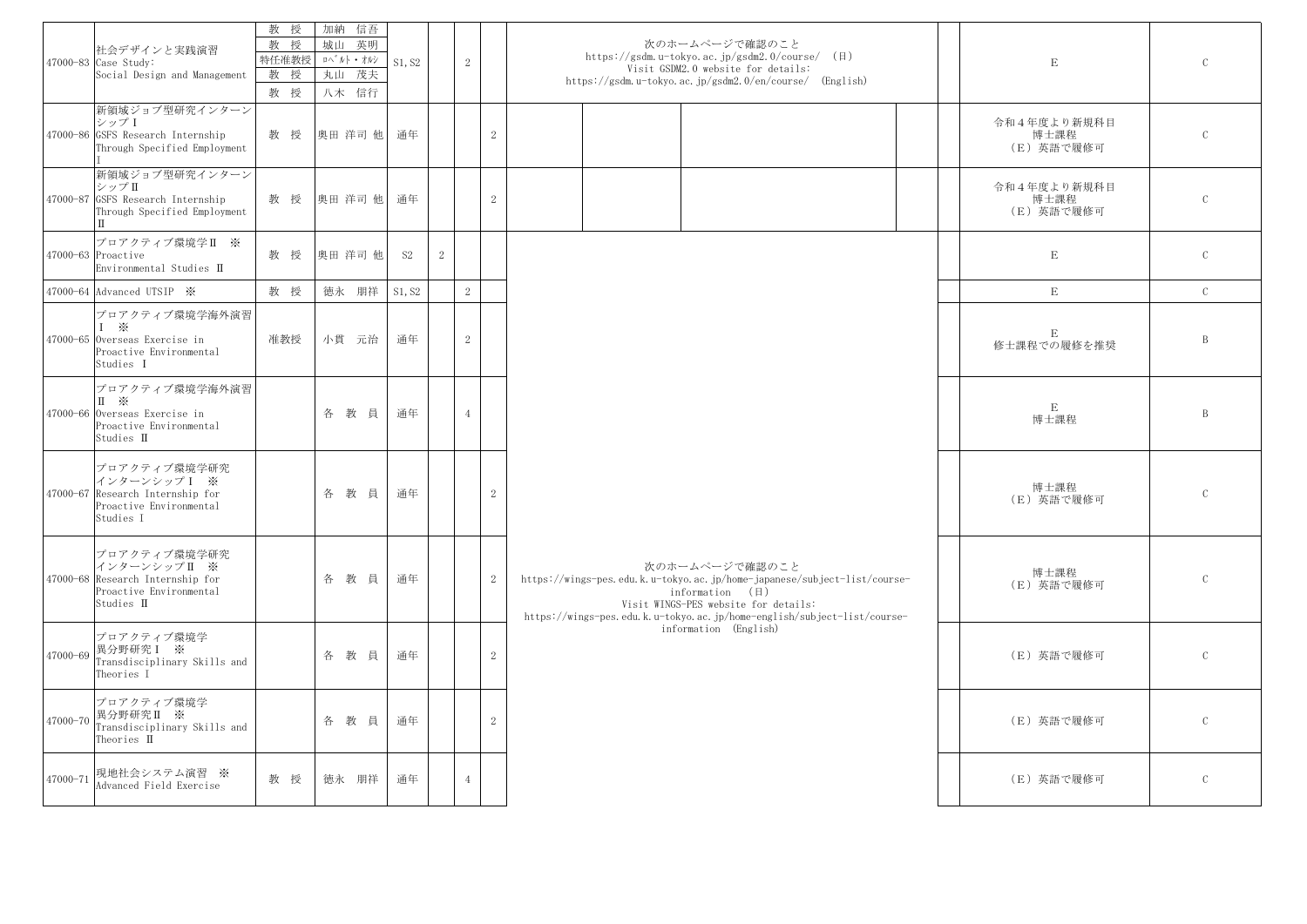|          | 社会デザインと実践演習<br>47000-83 Case Study:<br>Social Design and Management                                                   | 教 授<br>教 授<br>特任准教授<br>教 授<br>教授 | 加納 信吾<br>城山<br>英明<br>卟゛ルト・オルシ<br>丸山 茂夫<br>八木 信行 | S1, S2    |                | 2              |                | 次のホームページで確認のこと<br>https://gsdm.u-tokyo.ac.jp/gsdm2.0/course/ $(\boxplus)$<br>Visit GSDM2.0 website for details:<br>https://gsdm.u-tokyo.ac.jp/gsdm2.0/en/course/ (English)                                                                | $\mathbf E$                       | $\mathcal{C}$ |
|----------|-----------------------------------------------------------------------------------------------------------------------|----------------------------------|-------------------------------------------------|-----------|----------------|----------------|----------------|-------------------------------------------------------------------------------------------------------------------------------------------------------------------------------------------------------------------------------------------|-----------------------------------|---------------|
|          | 新領域ジョブ型研究インターン<br>シップI<br>47000-86 GSFS Research Internship<br>Through Specified Employment                           | 教授                               | 奥田 洋司 他                                         | 通年        |                |                | 2              |                                                                                                                                                                                                                                           | 令和4年度より新規科目<br>博士課程<br>(E) 英語で履修可 | $\mathcal{C}$ |
|          | 新領域ジョブ型研究インターン<br>シップII<br>47000-87 GSFS Research Internship<br>Through Specified Employment<br>IП                    | 教授                               | 奥田 洋司 他                                         | 通年        |                |                | 2              |                                                                                                                                                                                                                                           | 令和4年度より新規科目<br>博士課程<br>(E) 英語で履修可 | $\mathcal{C}$ |
|          | プロアクティブ環境学II ※<br>47000-63 Proactive<br>Environmental Studies II                                                      | 教授                               | 奥田 洋司 他                                         | <b>S2</b> | $\overline{2}$ |                |                |                                                                                                                                                                                                                                           | $\mathbf E$                       | $\mathcal{C}$ |
|          | 47000-64 Advanced UTSIP *                                                                                             | 教 授                              | 徳永 朋祥                                           | S1, S2    |                | 2              |                |                                                                                                                                                                                                                                           | $\mathbf E$                       | $\mathcal{C}$ |
|          | プロアクティブ環境学海外演習<br>$1 \times$<br>47000-65 Overseas Exercise in<br>Proactive Environmental<br>Studies I                 | 准教授                              | 小貫 元治                                           | 通年        |                | 2              |                |                                                                                                                                                                                                                                           | E<br>修士課程での履修を推奨                  | B             |
|          | プロアクティブ環境学海外演習<br>$\mathbb{I}$ $\mathbb{X}$<br>47000-66 Overseas Exercise in<br>Proactive Environmental<br>Studies II |                                  | 各教員                                             | 通年        |                | $\overline{4}$ |                |                                                                                                                                                                                                                                           | $\mathbf E$<br>博士課程               | $\mathbf{B}$  |
|          | プロアクティブ環境学研究<br>インターンシップ I ※<br>47000-67 Research Internship for<br>Proactive Environmental<br>Studies I              |                                  | 各教員                                             | 通年        |                |                | 2              |                                                                                                                                                                                                                                           | 博士課程<br>(E) 英語で履修可                | $\mathcal{C}$ |
|          | プロアクティブ環境学研究<br>インターンシップ II ※<br>47000-68 Research Internship for<br>Proactive Environmental<br>Studies II            |                                  | 各教員                                             | 通年        |                |                | 2              | 次のホームページで確認のこと<br>https://wings-pes.edu.k.u-tokyo.ac.jp/home-japanese/subject-list/course-<br>information $(\boxplus)$<br>Visit WINGS-PES website for details:<br>https://wings-pes.edu.k.u-tokyo.ac.jp/home-english/subject-list/course- | 博士課程<br>(E) 英語で履修可                | $\mathcal{C}$ |
|          | プロアクティブ環境学<br>47000-69 異分野研究 I ※<br>Transdisciplinary Skills and<br>Theories I                                        |                                  | 各教員                                             | 通年        |                |                | $\overline{2}$ | information (English)                                                                                                                                                                                                                     | (E) 英語で履修可                        | $\mathcal{C}$ |
|          | プロアクティブ環境学<br>47000-70 異分野研究 II ※<br>Transdisciplinary Skills and<br>Theories II                                      |                                  | 各 教員                                            | 通年        |                |                | 2              |                                                                                                                                                                                                                                           | (E) 英語で履修可                        | $\mathcal{C}$ |
| 47000-71 | 現地社会システム演習 ※<br>Advanced Field Exercise                                                                               | 教授                               | 徳永 朋祥                                           | 通年        |                | $\overline{4}$ |                |                                                                                                                                                                                                                                           | (E) 英語で履修可                        | $\mathcal{C}$ |